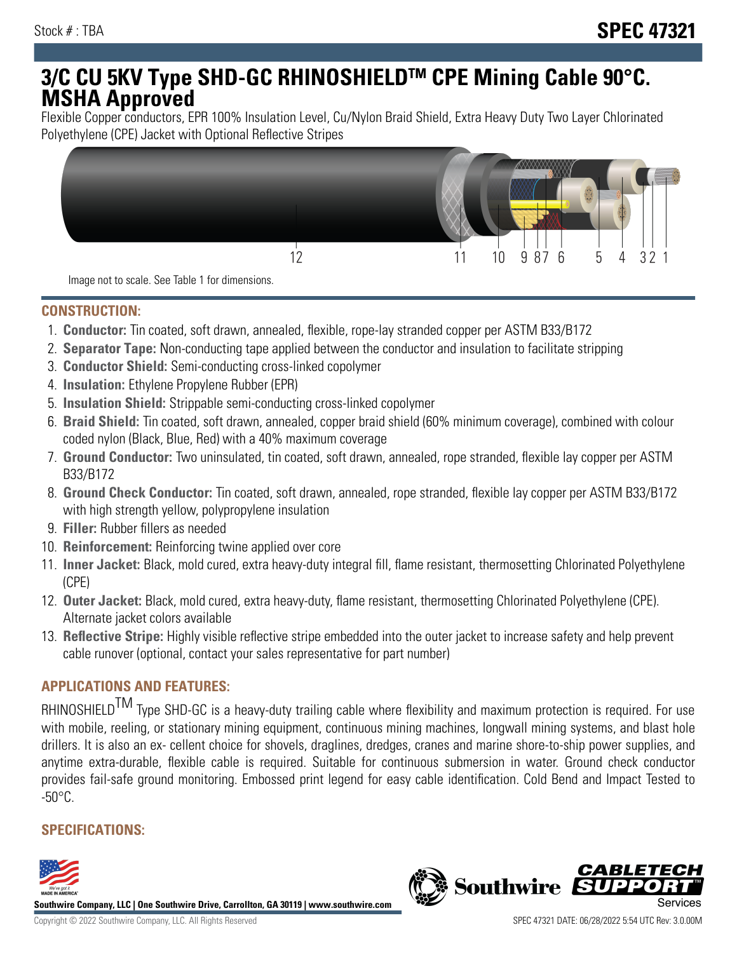# **3/C CU 5KV Type SHD-GC RHINOSHIELDTM CPE Mining Cable 90°C. MSHA Approved**

Flexible Copper conductors, EPR 100% Insulation Level, Cu/Nylon Braid Shield, Extra Heavy Duty Two Layer Chlorinated Polyethylene (CPE) Jacket with Optional Reflective Stripes



Image not to scale. See Table 1 for dimensions.

#### **CONSTRUCTION:**

- 1. **Conductor:** Tin coated, soft drawn, annealed, flexible, rope-lay stranded copper per ASTM B33/B172
- 2. **Separator Tape:** Non-conducting tape applied between the conductor and insulation to facilitate stripping
- 3. **Conductor Shield:** Semi-conducting cross-linked copolymer
- 4. **Insulation:** Ethylene Propylene Rubber (EPR)
- 5. **Insulation Shield:** Strippable semi-conducting cross-linked copolymer
- 6. **Braid Shield:** Tin coated, soft drawn, annealed, copper braid shield (60% minimum coverage), combined with colour coded nylon (Black, Blue, Red) with a 40% maximum coverage
- 7. **Ground Conductor:** Two uninsulated, tin coated, soft drawn, annealed, rope stranded, flexible lay copper per ASTM B33/B172
- 8. **Ground Check Conductor:** Tin coated, soft drawn, annealed, rope stranded, flexible lay copper per ASTM B33/B172 with high strength yellow, polypropylene insulation
- 9. **Filler:** Rubber fillers as needed
- 10. **Reinforcement:** Reinforcing twine applied over core
- 11. **Inner Jacket:** Black, mold cured, extra heavy-duty integral fill, flame resistant, thermosetting Chlorinated Polyethylene (CPE)
- 12. **Outer Jacket:** Black, mold cured, extra heavy-duty, flame resistant, thermosetting Chlorinated Polyethylene (CPE). Alternate jacket colors available
- 13. **Reflective Stripe:** Highly visible reflective stripe embedded into the outer jacket to increase safety and help prevent cable runover (optional, contact your sales representative for part number)

# **APPLICATIONS AND FEATURES:**

RHINOSHIELD<sup>TM</sup> Type SHD-GC is a heavy-duty trailing cable where flexibility and maximum protection is required. For use with mobile, reeling, or stationary mining equipment, continuous mining machines, longwall mining systems, and blast hole drillers. It is also an ex- cellent choice for shovels, draglines, dredges, cranes and marine shore-to-ship power supplies, and anytime extra-durable, flexible cable is required. Suitable for continuous submersion in water. Ground check conductor provides fail-safe ground monitoring. Embossed print legend for easy cable identification. Cold Bend and Impact Tested to  $-50^{\circ}$ C.

## **SPECIFICATIONS:**



**Southwire Company, LLC | One Southwire Drive, Carrollton, GA 30119 | www.southwire.com**

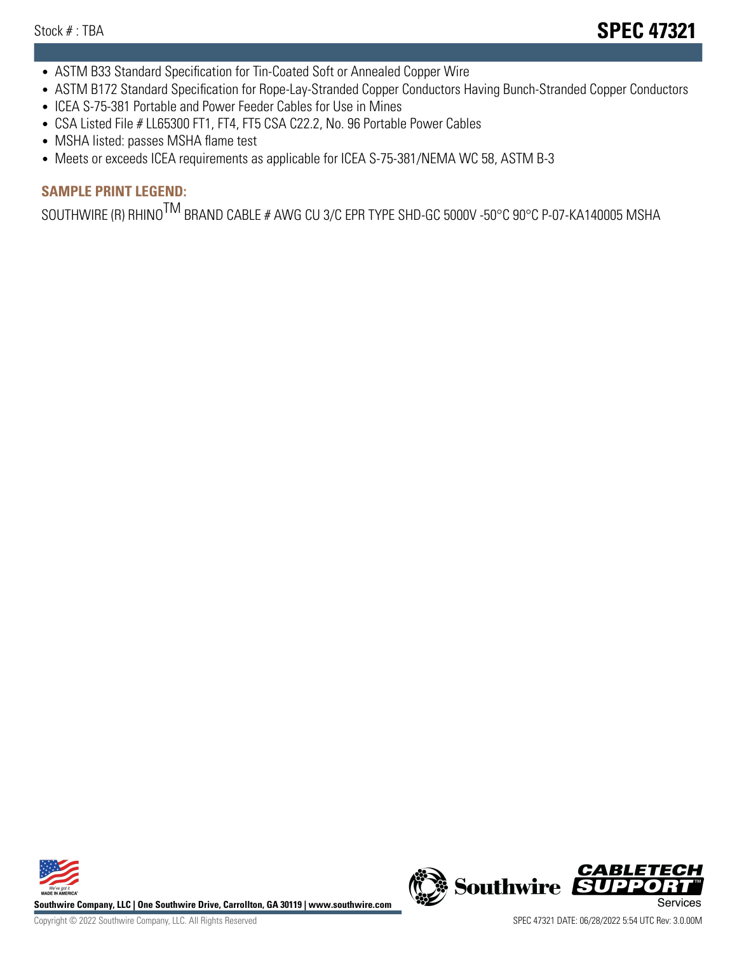- ASTM B33 Standard Specification for Tin-Coated Soft or Annealed Copper Wire
- ASTM B172 Standard Specification for Rope-Lay-Stranded Copper Conductors Having Bunch-Stranded Copper Conductors
- ICEA S-75-381 Portable and Power Feeder Cables for Use in Mines
- CSA Listed File # LL65300 FT1, FT4, FT5 CSA C22.2, No. 96 Portable Power Cables
- MSHA listed: passes MSHA flame test
- Meets or exceeds ICEA requirements as applicable for ICEA S-75-381/NEMA WC 58, ASTM B-3

# **SAMPLE PRINT LEGEND:**

SOUTHWIRE (R) RHINO<sup>TM</sup> BRAND CABLE # AWG CU 3/C EPR TYPE SHD-GC 5000V -50°C 90°C P-07-KA140005 MSHA